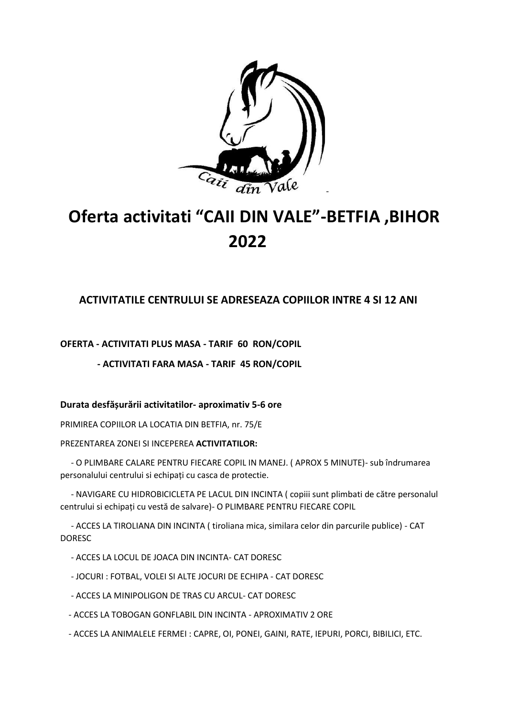

## **Oferta activitati "CAII DIN VALE"-BETFIA ,BIHOR 2022**

## **ACTIVITATILE CENTRULUI SE ADRESEAZA COPIILOR INTRE 4 SI 12 ANI**

**OFERTA - ACTIVITATI PLUS MASA - TARIF 60 RON/COPIL** 

 **- ACTIVITATI FARA MASA - TARIF 45 RON/COPIL**

## **Durata desfășurării activitatilor- aproximativ 5-6 ore**

PRIMIREA COPIILOR LA LOCATIA DIN BETFIA, nr. 75/E

PREZENTAREA ZONEI SI INCEPEREA **ACTIVITATILOR:**

 - O PLIMBARE CALARE PENTRU FIECARE COPIL IN MANEJ. ( APROX 5 MINUTE)- sub îndrumarea personalului centrului si echipați cu casca de protectie.

 - NAVIGARE CU HIDROBICICLETA PE LACUL DIN INCINTA ( copiii sunt plimbati de către personalul centrului si echipați cu vestă de salvare)- O PLIMBARE PENTRU FIECARE COPIL

 - ACCES LA TIROLIANA DIN INCINTA ( tiroliana mica, similara celor din parcurile publice) - CAT DORESC

- ACCES LA LOCUL DE JOACA DIN INCINTA- CAT DORESC
- JOCURI : FOTBAL, VOLEI SI ALTE JOCURI DE ECHIPA CAT DORESC
- ACCES LA MINIPOLIGON DE TRAS CU ARCUL- CAT DORESC
- ACCES LA TOBOGAN GONFLABIL DIN INCINTA APROXIMATIV 2 ORE
- ACCES LA ANIMALELE FERMEI : CAPRE, OI, PONEI, GAINI, RATE, IEPURI, PORCI, BIBILICI, ETC.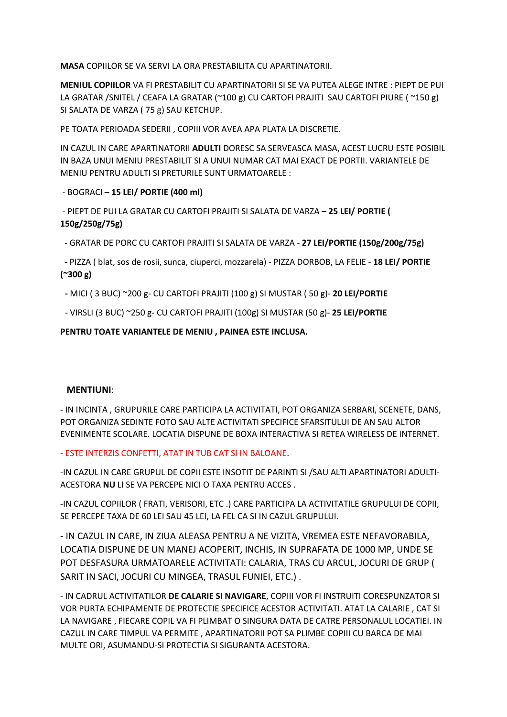**MASA** COPIILOR SE VA SERVI LA ORA PRESTABILITA CU APARTINATORII.

**MENIUL COPIILOR** VA FI PRESTABILIT CU APARTINATORII SI SE VA PUTEA ALEGE INTRE : PIEPT DE PUI LA GRATAR /SNITEL / CEAFA LA GRATAR (~100 g) CU CARTOFI PRAJITI SAU CARTOFI PIURE ( ~150 g) SI SALATA DE VARZA ( 75 g) SAU KETCHUP.

PE TOATA PERIOADA SEDERII , COPIII VOR AVEA APA PLATA LA DISCRETIE.

IN CAZUL IN CARE APARTINATORII **ADULTI** DORESC SA SERVEASCA MASA, ACEST LUCRU ESTE POSIBIL IN BAZA UNUI MENIU PRESTABILIT SI A UNUI NUMAR CAT MAI EXACT DE PORTII. VARIANTELE DE MENIU PENTRU ADULTI SI PRETURILE SUNT URMATOARELE :

- BOGRACI – **15 LEI/ PORTIE (400 ml)**

- PIEPT DE PUI LA GRATAR CU CARTOFI PRAJITI SI SALATA DE VARZA – **25 LEI/ PORTIE ( 150g/250g/75g)**

- GRATAR DE PORC CU CARTOFI PRAJITI SI SALATA DE VARZA - **27 LEI/PORTIE (150g/200g/75g)**

 **-** PIZZA ( blat, sos de rosii, sunca, ciuperci, mozzarela) - PIZZA DORBOB, LA FELIE - **18 LEI/ PORTIE (~300 g)**

**-** MICI ( 3 BUC) ~200 g- CU CARTOFI PRAJITI (100 g) SI MUSTAR ( 50 g)- **20 LEI/PORTIE**

- VIRSLI (3 BUC) ~250 g- CU CARTOFI PRAJITI (100g) SI MUSTAR (50 g)- **25 LEI/PORTIE**

**PENTRU TOATE VARIANTELE DE MENIU , PAINEA ESTE INCLUSA.**

## **MENTIUNI**:

- IN INCINTA , GRUPURILE CARE PARTICIPA LA ACTIVITATI, POT ORGANIZA SERBARI, SCENETE, DANS, POT ORGANIZA SEDINTE FOTO SAU ALTE ACTIVITATI SPECIFICE SFARSITULUI DE AN SAU ALTOR EVENIMENTE SCOLARE. LOCATIA DISPUNE DE BOXA INTERACTIVA SI RETEA WIRELESS DE INTERNET.

- ESTE INTERZIS CONFETTI, ATAT IN TUB CAT SI IN BALOANE.

-IN CAZUL IN CARE GRUPUL DE COPII ESTE INSOTIT DE PARINTI SI /SAU ALTI APARTINATORI ADULTI-ACESTORA **NU** LI SE VA PERCEPE NICI O TAXA PENTRU ACCES .

-IN CAZUL COPIILOR ( FRATI, VERISORI, ETC .) CARE PARTICIPA LA ACTIVITATILE GRUPULUI DE COPII, SE PERCEPE TAXA DE 60 LEI SAU 45 LEI, LA FEL CA SI IN CAZUL GRUPULUI.

- IN CAZUL IN CARE, IN ZIUA ALEASA PENTRU A NE VIZITA, VREMEA ESTE NEFAVORABILA, LOCATIA DISPUNE DE UN MANEJ ACOPERIT, INCHIS, IN SUPRAFATA DE 1000 MP, UNDE SE POT DESFASURA URMATOARELE ACTIVITATI: CALARIA, TRAS CU ARCUL, JOCURI DE GRUP ( SARIT IN SACI, JOCURI CU MINGEA, TRASUL FUNIEI, ETC.) .

- IN CADRUL ACTIVITATILOR **DE CALARIE SI NAVIGARE**, COPIII VOR FI INSTRUITI CORESPUNZATOR SI VOR PURTA ECHIPAMENTE DE PROTECTIE SPECIFICE ACESTOR ACTIVITATI. ATAT LA CALARIE , CAT SI LA NAVIGARE , FIECARE COPIL VA FI PLIMBAT O SINGURA DATA DE CATRE PERSONALUL LOCATIEI. IN CAZUL IN CARE TIMPUL VA PERMITE , APARTINATORII POT SA PLIMBE COPIII CU BARCA DE MAI MULTE ORI, ASUMANDU-SI PROTECTIA SI SIGURANTA ACESTORA.